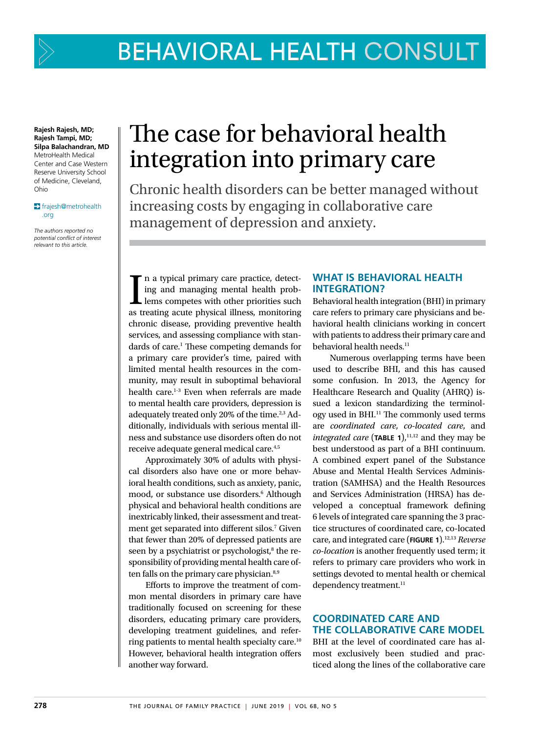

**Rajesh Rajesh, MD; Rajesh Tampi, MD; Silpa Balachandran, MD** MetroHealth Medical Center and Case Western Reserve University School of Medicine, Cleveland, Ohio

#### frajesh@metrohealth .org

*The authors reported no potential conflict of interest relevant to this article.*

# The case for behavioral health integration into primary care

Chronic health disorders can be better managed without increasing costs by engaging in collaborative care management of depression and anxiety.

I n a typical primary care practice, detecting and managing mental health problems competes with other priorities such as treating acute physical illness, monitoring chronic disease, providing preventive health services, and assessing compliance with standards of care.<sup>1</sup> These competing demands for a primary care provider's time, paired with limited mental health resources in the community, may result in suboptimal behavioral health care.<sup>1-3</sup> Even when referrals are made to mental health care providers, depression is adequately treated only 20% of the time.<sup>2,3</sup> Additionally, individuals with serious mental illness and substance use disorders often do not receive adequate general medical care.4,5

Approximately 30% of adults with physical disorders also have one or more behavioral health conditions, such as anxiety, panic, mood, or substance use disorders.<sup>6</sup> Although physical and behavioral health conditions are inextricably linked, their assessment and treatment get separated into different silos.<sup>7</sup> Given that fewer than 20% of depressed patients are seen by a psychiatrist or psychologist,<sup>8</sup> the responsibility of providing mental health care often falls on the primary care physician.<sup>8,9</sup>

Efforts to improve the treatment of common mental disorders in primary care have traditionally focused on screening for these disorders, educating primary care providers, developing treatment guidelines, and referring patients to mental health specialty care.10 However, behavioral health integration offers another way forward.

#### **WHAT IS BEHAVIORAL HEALTH INTEGRATION?**

Behavioral health integration (BHI) in primary care refers to primary care physicians and behavioral health clinicians working in concert with patients to address their primary care and behavioral health needs.<sup>11</sup>

Numerous overlapping terms have been used to describe BHI, and this has caused some confusion. In 2013, the Agency for Healthcare Research and Quality (AHRQ) issued a lexicon standardizing the terminology used in BHI.11 The commonly used terms are *coordinated care*, *co-located care*, and *integrated care* (**TABLE 1**), 11,12 and they may be best understood as part of a BHI continuum. A combined expert panel of the Substance Abuse and Mental Health Services Administration (SAMHSA) and the Health Resources and Services Administration (HRSA) has developed a conceptual framework defining 6 levels of integrated care spanning the 3 practice structures of coordinated care, co-located care, and integrated care (**FIGURE 1**).12,13 *Reverse co-location* is another frequently used term; it refers to primary care providers who work in settings devoted to mental health or chemical dependency treatment.<sup>11</sup>

### **COORDINATED CARE AND THE COLLABORATIVE CARE MODEL**

BHI at the level of coordinated care has almost exclusively been studied and practiced along the lines of the collaborative care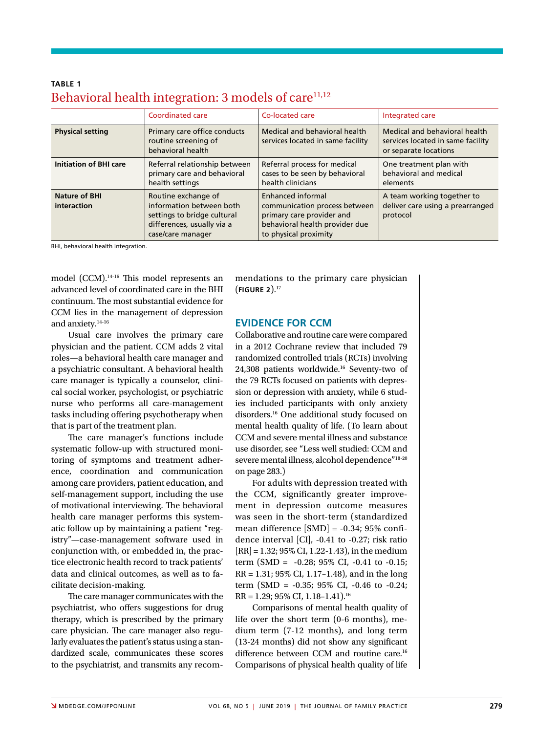|                                     | Coordinated care                                                                                                                  | Co-located care                                                                                                                            | Integrated care                                                                             |  |
|-------------------------------------|-----------------------------------------------------------------------------------------------------------------------------------|--------------------------------------------------------------------------------------------------------------------------------------------|---------------------------------------------------------------------------------------------|--|
| <b>Physical setting</b>             | Primary care office conducts<br>routine screening of<br>behavioral health                                                         | Medical and behavioral health<br>services located in same facility                                                                         | Medical and behavioral health<br>services located in same facility<br>or separate locations |  |
| <b>Initiation of BHI care</b>       | Referral relationship between<br>primary care and behavioral<br>health settings                                                   | Referral process for medical<br>cases to be seen by behavioral<br>health clinicians                                                        | One treatment plan with<br>behavioral and medical<br>elements                               |  |
| <b>Nature of BHI</b><br>interaction | Routine exchange of<br>information between both<br>settings to bridge cultural<br>differences, usually via a<br>case/care manager | Enhanced informal<br>communication process between<br>primary care provider and<br>behavioral health provider due<br>to physical proximity | A team working together to<br>deliver care using a prearranged<br>protocol                  |  |

### **TABLE 1** Behavioral health integration: 3 models of care<sup>11,12</sup>

BHI, behavioral health integration.

model (CCM).14-16 This model represents an advanced level of coordinated care in the BHI continuum. The most substantial evidence for CCM lies in the management of depression and anxiety.14-16

Usual care involves the primary care physician and the patient. CCM adds 2 vital roles—a behavioral health care manager and a psychiatric consultant. A behavioral health care manager is typically a counselor, clinical social worker, psychologist, or psychiatric nurse who performs all care-management tasks including offering psychotherapy when that is part of the treatment plan.

The care manager's functions include systematic follow-up with structured monitoring of symptoms and treatment adherence, coordination and communication among care providers, patient education, and self-management support, including the use of motivational interviewing. The behavioral health care manager performs this systematic follow up by maintaining a patient "registry"—case-management software used in conjunction with, or embedded in, the practice electronic health record to track patients' data and clinical outcomes, as well as to facilitate decision-making.

The care manager communicates with the psychiatrist, who offers suggestions for drug therapy, which is prescribed by the primary care physician. The care manager also regularly evaluates the patient's status using a standardized scale, communicates these scores to the psychiatrist, and transmits any recommendations to the primary care physician (**FIGURE 2**). 17

#### **EVIDENCE FOR CCM**

Collaborative and routine care were compared in a 2012 Cochrane review that included 79 randomized controlled trials (RCTs) involving 24,308 patients worldwide.16 Seventy-two of the 79 RCTs focused on patients with depression or depression with anxiety, while 6 studies included participants with only anxiety disorders.16 One additional study focused on mental health quality of life. (To learn about CCM and severe mental illness and substance use disorder, see "Less well studied: CCM and severe mental illness, alcohol dependence"18-20 on page 283.)

For adults with depression treated with the CCM, significantly greater improvement in depression outcome measures was seen in the short-term (standardized mean difference [SMD] = -0.34; 95% confidence interval [CI], -0.41 to -0.27; risk ratio  $[RR] = 1.32; 95\% CI, 1.22-1.43$ , in the medium term (SMD = -0.28; 95% CI, -0.41 to -0.15; RR = 1.31; 95% CI, 1.17–1.48), and in the long term (SMD = -0.35; 95% CI, -0.46 to -0.24; RR = 1.29; 95% CI, 1.18–1.41).16

Comparisons of mental health quality of life over the short term (0-6 months), medium term (7-12 months), and long term (13-24 months) did not show any significant difference between CCM and routine care.<sup>16</sup> Comparisons of physical health quality of life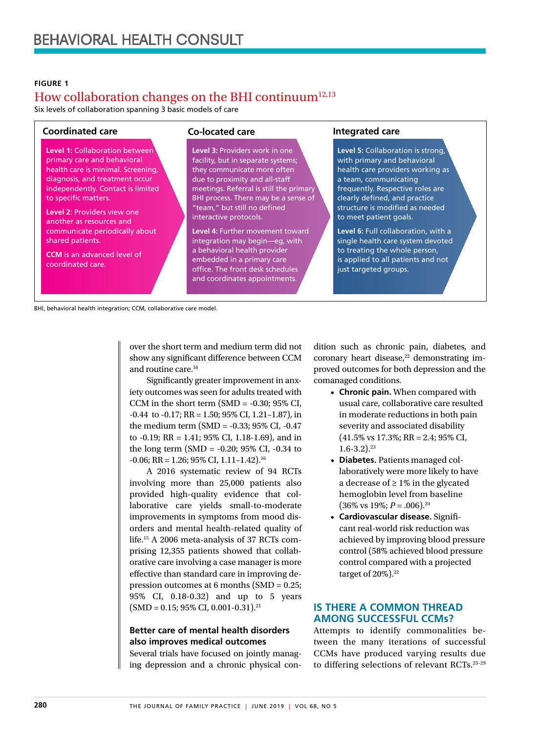#### **FIGURE 1**

# How collaboration changes on the BHI continuum<sup>12,13</sup>

Six levels of collaboration spanning 3 basic models of care

**Level 1:** Collaboration between primary care and behavioral health care is minimal. Screening, diagnosis, and treatment occur independently. Contact is limited to specific matters.

**Level 2**: Providers view one another as resources and communicate periodically about shared patients.

**CCM** is an advanced level of coordinated care.

#### **Coordinated care Co-located care Integrated care**

**Level 3:** Providers work in one facility, but in separate systems; they communicate more often due to proximity and all-staff meetings. Referral is still the primary BHI process. There may be a sense of "team," but still no defined interactive protocols.

**Level 4:** Further movement toward integration may begin—eg, with a behavioral health provider embedded in a primary care office. The front desk schedules and coordinates appointments.

**Level 5:** Collaboration is strong, with primary and behavioral health care providers working as a team, communicating frequently. Respective roles are clearly defined, and practice structure is modified as needed to meet patient goals.

**Level 6:** Full collaboration, with a single health care system devoted to treating the whole person, is applied to all patients and not just targeted groups.

BHI, behavioral health integration; CCM, collaborative care model.

over the short term and medium term did not show any significant difference between CCM and routine care.16

Significantly greater improvement in anxiety outcomes was seen for adults treated with CCM in the short term  $(SMD = -0.30; 95\% \text{ CI},$  $-0.44$  to  $-0.17$ ; RR = 1.50; 95% CI, 1.21 $-1.87$ ), in the medium term (SMD = -0.33; 95% CI, -0.47 to -0.19; RR = 1.41; 95% CI, 1.18-1.69), and in the long term (SMD = -0.20; 95% CI, -0.34 to  $-0.06$ ; RR = 1.26; 95% CI, 1.11-1.42).<sup>16</sup>

A 2016 systematic review of 94 RCTs involving more than 25,000 patients also provided high-quality evidence that collaborative care yields small-to-moderate improvements in symptoms from mood disorders and mental health-related quality of life.15 A 2006 meta-analysis of 37 RCTs comprising 12,355 patients showed that collaborative care involving a case manager is more effective than standard care in improving depression outcomes at 6 months (SMD = 0.25; 95% CI, 0.18-0.32) and up to 5 years  $(SMD = 0.15; 95\% CI, 0.001-0.31).$ <sup>21</sup>

#### **Better care of mental health disorders also improves medical outcomes**

Several trials have focused on jointly managing depression and a chronic physical con-

dition such as chronic pain, diabetes, and coronary heart disease, $22$  demonstrating improved outcomes for both depression and the comanaged conditions.

- **Chronic pain.** When compared with usual care, collaborative care resulted in moderate reductions in both pain severity and associated disability (41.5% vs 17.3%; RR = 2.4; 95% CI,  $1.6 - 3.2$ ).<sup>23</sup>
- **Diabetes.** Patients managed collaboratively were more likely to have a decrease of ≥ 1% in the glycated hemoglobin level from baseline  $(36\% \text{ vs } 19\%; P = .006).^{24}$
- **Cardiovascular disease.** Significant real-world risk reduction was achieved by improving blood pressure control (58% achieved blood pressure control compared with a projected target of  $20\%$ ).<sup>22</sup>

#### **IS THERE A COMMON THREAD AMONG SUCCESSFUL CCMs?**

Attempts to identify commonalities between the many iterations of successful CCMs have produced varying results due to differing selections of relevant RCTs.25-29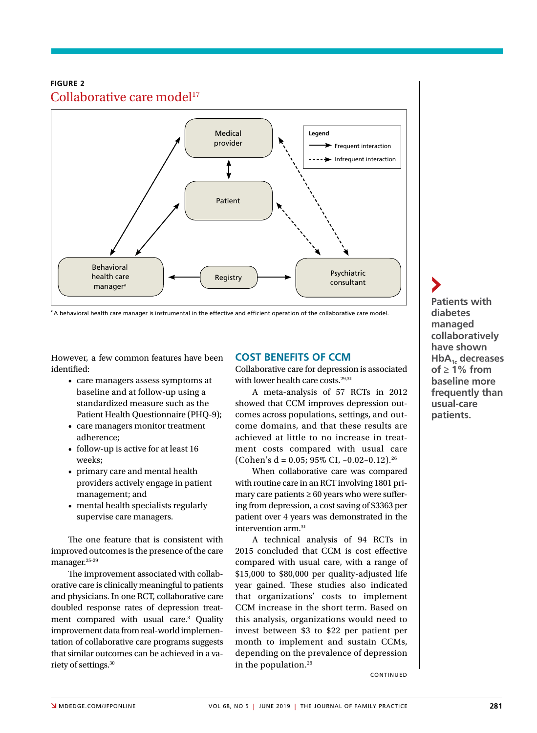#### **FIGURE 2** Collaborative care model<sup>17</sup>



<sup>a</sup>A behavioral health care manager is instrumental in the effective and efficient operation of the collaborative care model.

However, a few common features have been identified:

- care managers assess symptoms at baseline and at follow-up using a standardized measure such as the Patient Health Questionnaire (PHQ-9);
- care managers monitor treatment adherence;
- follow-up is active for at least 16 weeks;
- primary care and mental health providers actively engage in patient management; and
- mental health specialists regularly supervise care managers.

The one feature that is consistent with improved outcomes is the presence of the care manager.25-29

The improvement associated with collaborative care is clinically meaningful to patients and physicians. In one RCT, collaborative care doubled response rates of depression treatment compared with usual care.<sup>3</sup> Quality improvement data from real-world implementation of collaborative care programs suggests that similar outcomes can be achieved in a variety of settings.30

#### **COST BENEFITS OF CCM**

Collaborative care for depression is associated with lower health care costs.<sup>29,31</sup>

A meta-analysis of 57 RCTs in 2012 showed that CCM improves depression outcomes across populations, settings, and outcome domains, and that these results are achieved at little to no increase in treatment costs compared with usual care (Cohen's d = 0.05; 95% CI, -0.02-0.12).<sup>26</sup>

When collaborative care was compared with routine care in an RCT involving 1801 primary care patients  $\geq 60$  years who were suffering from depression, a cost saving of \$3363 per patient over 4 years was demonstrated in the intervention arm.31

A technical analysis of 94 RCTs in 2015 concluded that CCM is cost effective compared with usual care, with a range of \$15,000 to \$80,000 per quality-adjusted life year gained. These studies also indicated that organizations' costs to implement CCM increase in the short term. Based on this analysis, organizations would need to invest between \$3 to \$22 per patient per month to implement and sustain CCMs, depending on the prevalence of depression in the population.29

**Patients with diabetes managed collaboratively have shown**  HbA<sub>1c</sub> decreases **of ≥ 1% from baseline more frequently than usual-care patients.**

**CONTINUED**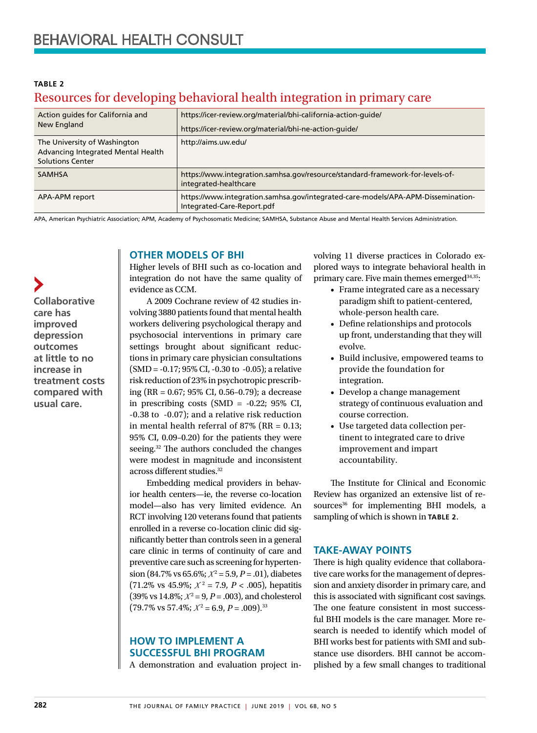| TABLE 2                                                                |  |  |
|------------------------------------------------------------------------|--|--|
| Resources for developing behavioral health integration in primary care |  |  |

| Action guides for California and<br>New England                                               | https://icer-review.org/material/bhi-california-action-guide/<br>https://icer-review.org/material/bhi-ne-action-quide/ |
|-----------------------------------------------------------------------------------------------|------------------------------------------------------------------------------------------------------------------------|
| The University of Washington<br>Advancing Integrated Mental Health<br><b>Solutions Center</b> | http://aims.uw.edu/                                                                                                    |
| <b>SAMHSA</b>                                                                                 | https://www.integration.samhsa.gov/resource/standard-framework-for-levels-of-<br>integrated-healthcare                 |
| APA-APM report                                                                                | https://www.integration.samhsa.gov/integrated-care-models/APA-APM-Dissemination-<br>Integrated-Care-Report.pdf         |

APA, American Psychiatric Association; APM, Academy of Psychosomatic Medicine; SAMHSA, Substance Abuse and Mental Health Services Administration.

#### **OTHER MODELS OF BHI**

**Collaborative care has improved depression outcomes at little to no increase in treatment costs compared with usual care.**

Higher levels of BHI such as co-location and integration do not have the same quality of evidence as CCM.

A 2009 Cochrane review of 42 studies involving 3880 patients found that mental health workers delivering psychological therapy and psychosocial interventions in primary care settings brought about significant reductions in primary care physician consultations (SMD = ‐0.17; 95% CI, ‐0.30 to ‐0.05); a relative risk reduction of 23% in psychotropic prescribing (RR = 0.67; 95% CI, 0.56–0.79); a decrease in prescribing costs  $(SMD = -0.22; 95\% \text{ CI},$ ‐0.38 to ‐0.07); and a relative risk reduction in mental health referral of 87% ( $RR = 0.13$ ; 95% CI, 0.09–0.20) for the patients they were seeing.<sup>32</sup> The authors concluded the changes were modest in magnitude and inconsistent across different studies.<sup>32</sup>

Embedding medical providers in behavior health centers—ie, the reverse co-location model—also has very limited evidence. An RCT involving 120 veterans found that patients enrolled in a reverse co-location clinic did significantly better than controls seen in a general care clinic in terms of continuity of care and preventive care such as screening for hyperten- $\sin(84.7\% \text{ vs } 65.6\%; \ X^2 = 5.9, P = .01), \text{ diabetes}$  $(71.2\% \text{ vs } 45.9\%; \ X^2 = 7.9, \ P < .005)$ , hepatitis  $(39\% \text{ vs } 14.8\%; X^2 = 9, P = .003)$ , and cholesterol  $(79.7\% \text{ vs } 57.4\%; X^2 = 6.9, P = .009).$ <sup>33</sup>

#### **HOW TO IMPLEMENT A SUCCESSFUL BHI PROGRAM**

A demonstration and evaluation project in-

volving 11 diverse practices in Colorado explored ways to integrate behavioral health in primary care. Five main themes emerged<sup>34,35</sup>:

- Frame integrated care as a necessary paradigm shift to patient-centered, whole-person health care.
- Define relationships and protocols up front, understanding that they will evolve.
- Build inclusive, empowered teams to provide the foundation for integration.
- Develop a change management strategy of continuous evaluation and course correction.
- Use targeted data collection pertinent to integrated care to drive improvement and impart accountability.

The Institute for Clinical and Economic Review has organized an extensive list of resources<sup>36</sup> for implementing BHI models, a sampling of which is shown in **TABLE 2**.

#### **TAKE-AWAY POINTS**

There is high quality evidence that collaborative care works for the management of depression and anxiety disorder in primary care, and this is associated with significant cost savings. The one feature consistent in most successful BHI models is the care manager. More research is needed to identify which model of BHI works best for patients with SMI and substance use disorders. BHI cannot be accomplished by a few small changes to traditional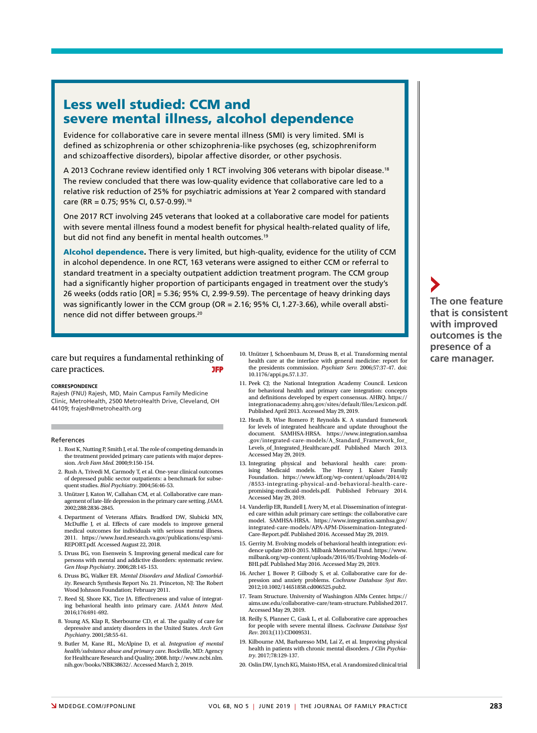# Less well studied: CCM and severe mental illness, alcohol dependence

Evidence for collaborative care in severe mental illness (SMI) is very limited. SMI is defined as schizophrenia or other schizophrenia-like psychoses (eg, schizophreniform and schizoaffective disorders), bipolar affective disorder, or other psychosis.

A 2013 Cochrane review identified only 1 RCT involving 306 veterans with bipolar disease.18 The review concluded that there was low-quality evidence that collaborative care led to a relative risk reduction of 25% for psychiatric admissions at Year 2 compared with standard care (RR = 0.75; 95% CI, 0.57-0.99).18

One 2017 RCT involving 245 veterans that looked at a collaborative care model for patients with severe mental illness found a modest benefit for physical health-related quality of life, but did not find any benefit in mental health outcomes.<sup>19</sup>

Alcohol dependence. There is very limited, but high-quality, evidence for the utility of CCM in alcohol dependence. In one RCT, 163 veterans were assigned to either CCM or referral to standard treatment in a specialty outpatient addiction treatment program. The CCM group had a significantly higher proportion of participants engaged in treatment over the study's 26 weeks (odds ratio [OR] = 5.36; 95% CI, 2.99-9.59). The percentage of heavy drinking days was significantly lower in the CCM group (OR = 2.16; 95% CI, 1.27-3.66), while overall abstinence did not differ between groups.20

#### care but requires a fundamental rethinking of  $\frac{10. \text{bullet}}{\text{health care at the interface with general medium}}$  care manager. care practices. **JFP**

#### **CORRESPONDENCE**

Rajesh (FNU) Rajesh, MD, Main Campus Family Medicine Clinic, MetroHealth, 2500 MetroHealth Drive, Cleveland, OH 44109; frajesh@metrohealth.org

#### References

- 1. Rost K, Nutting P, Smith J, et al. The role of competing demands in the treatment provided primary care patients with major depression. *Arch Fam Med.* 2000;9:150-154.
- 2. Rush A, Trivedi M, Carmody T, et al. One-year clinical outcomes of depressed public sector outpatients: a benchmark for subsequent studies. *Biol Psychiatry*. 2004;56:46-53.
- 3. Unützer J, Katon W, Callahan CM, et al. Collaborative care management of late-life depression in the primary care setting. *JAMA*. 2002;288:2836-2845.
- 4. Department of Veterans Affairs. Bradford DW, Slubicki MN, McDuffie J, et al. Effects of care models to improve general medical outcomes for individuals with serious mental illness. 2011. https://www.hsrd.research.va.gov/publications/esp/smi-REPORT.pdf. Accessed August 22, 2018.
- 5. Druss BG, von Esenwein S. Improving general medical care for persons with mental and addictive disorders: systematic review. *Gen Hosp Psychiatry*. 2006;28:145-153.
- 6. Druss BG, Walker ER. *Mental Disorders and Medical Comorbidity*. Research Synthesis Report No. 21. Princeton, NJ: The Robert Wood Johnson Foundation; February 2011.
- 7. Reed SJ, Shore KK, Tice JA. Effectiveness and value of integrating behavioral health into primary care. *JAMA Intern Med*. 2016;176:691-692.
- 8. Young AS, Klap R, Sherbourne CD, et al. The quality of care for depressive and anxiety disorders in the United States. *Arch Gen Psychiatry*. 2001;58:55-61.
- 9. Butler M, Kane RL, McAlpine D, et al. *Integration of mental health/substance abuse and primary care*. Rockville, MD: Agency for Healthcare Research and Quality; 2008. http://www.ncbi.nlm. nih.gov/books/NBK38632/. Accessed March 2, 2019.
- 10. Unützer J, Schoenbaum M, Druss B, et al. Transforming mental health care at the interface with general medicine: report for the presidents commission. *Psychiatr Serv.* 2006;57:37-47. doi: 10.1176/appi.ps.57.1.37.
- 11. Peek CJ; the National Integration Academy Council. Lexicon for behavioral health and primary care integration: concepts and definitions developed by expert consensus. AHRQ. https:// integrationacademy.ahrq.gov/sites/default/files/Lexicon.pdf. Published April 2013. Accessed May 29, 2019.
- 12. Heath B, Wise Romero P, Reynolds K. A standard framework for levels of integrated healthcare and update throughout the document. SAMHSA-HRSA. https://www.integration.samhsa .gov/integrated-care-models/A\_Standard\_Framework\_for\_ Levels\_of\_Integrated\_Healthcare.pdf. Published March 2013. Accessed May 29, 2019.
- 13. Integrating physical and behavioral health care: promising Medicaid models. The Henry J. Kaiser Family Foundation. https://www.kff.org/wp-content/uploads/2014/02 /8553-integrating-physical-and-behavioral-health-carepromising-medicaid-models.pdf. Published February 2014. Accessed May 29, 2019.
- 14. Vanderlip ER, Rundell J, Avery M, et al. Dissemination of integrated care within adult primary care settings: the collaborative care model. SAMHSA-HRSA. https://www.integration.samhsa.gov/ integrated-care-models/APA-APM-Dissemination-Integrated-Care-Report.pdf. Published 2016. Accessed May 29, 2019.
- 15. Gerrity M. Evolving models of behavioral health integration: evidence update 2010-2015. Milbank Memorial Fund. https://www. milbank.org/wp-content/uploads/2016/05/Evolving-Models-of-BHI.pdf. Published May 2016. Accessed May 29, 2019.
- 16. Archer J, Bower P, Gilbody S, et al. Collaborative care for depression and anxiety problems. *Cochrane Database Syst Rev*. 2012;10.1002/14651858.cd006525.pub2.
- 17. Team Structure. University of Washington AIMs Center. https:// aims.uw.edu/collaborative-care/team-structure. Published 2017. Accessed May 29, 2019.
- 18. Reilly S, Planner C, Gask L, et al. Collaborative care approaches for people with severe mental illness. *Cochrane Database Syst Rev*. 2013;(11):CD009531.
- 19. Kilbourne AM, Barbaresso MM, Lai Z, et al. Improving physical health in patients with chronic mental disorders. *J Clin Psychiatry*. 2017;78:129-137.
- 20. Oslin DW, Lynch KG, Maisto HSA, et al. A randomized clinical trial

**The one feature that is consistent with improved outcomes is the presence of a**